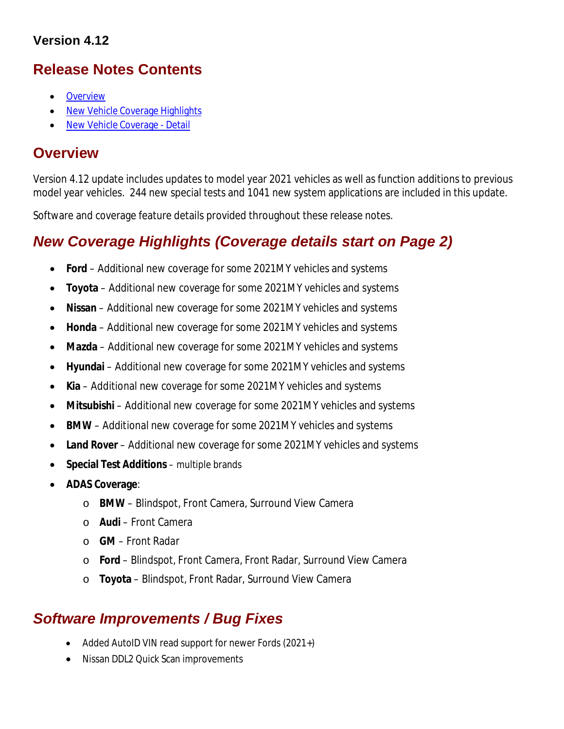## **Version 4.12**

## **Release Notes Contents**

- **Overview**
- New Vehicle Coverage Highlights
- New Vehicle Coverage Detail

## **Overview**

Version 4.12 update includes updates to model year 2021 vehicles as well as function additions to previous model year vehicles. 244 new special tests and 1041 new system applications are included in this update.

Software and coverage feature details provided throughout these release notes.

## *New Coverage Highlights (Coverage details start on Page 2)*

- **Ford** Additional new coverage for some 2021MY vehicles and systems
- **Toyota** Additional new coverage for some 2021MY vehicles and systems
- **Nissan** Additional new coverage for some 2021MY vehicles and systems
- **Honda** Additional new coverage for some 2021MY vehicles and systems
- **Mazda** Additional new coverage for some 2021MY vehicles and systems
- **Hyundai** Additional new coverage for some 2021MY vehicles and systems
- **Kia** Additional new coverage for some 2021MY vehicles and systems
- **Mitsubishi** Additional new coverage for some 2021MY vehicles and systems
- **BMW** Additional new coverage for some 2021MY vehicles and systems
- **Land Rover**  Additional new coverage for some 2021MY vehicles and systems
- **Special Test Additions**  multiple brands
- **ADAS Coverage**:
	- o **BMW**  Blindspot, Front Camera, Surround View Camera
	- o **Audi**  Front Camera
	- o **GM**  Front Radar
	- o **Ford**  Blindspot, Front Camera, Front Radar, Surround View Camera
	- o **Toyota**  Blindspot, Front Radar, Surround View Camera

## *Software Improvements / Bug Fixes*

- Added AutoID VIN read support for newer Fords (2021+)
- Nissan DDL2 Quick Scan improvements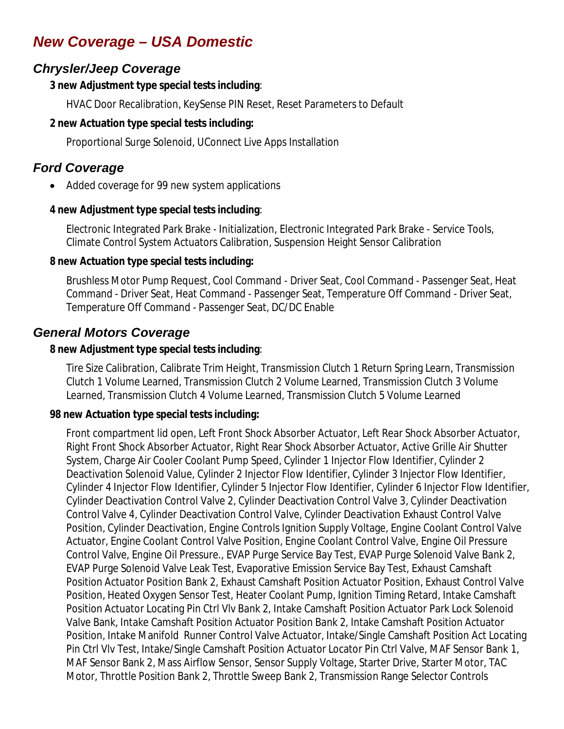# *New Coverage – USA Domestic*

## *Chrysler/Jeep Coverage*

#### **3 new Adjustment type special tests including**:

HVAC Door Recalibration, KeySense PIN Reset, Reset Parameters to Default

#### **2 new Actuation type special tests including:**

Proportional Surge Solenoid, UConnect Live Apps Installation

## *Ford Coverage*

• Added coverage for 99 new system applications

#### **4 new Adjustment type special tests including**:

Electronic Integrated Park Brake - Initialization, Electronic Integrated Park Brake - Service Tools, Climate Control System Actuators Calibration, Suspension Height Sensor Calibration

#### **8 new Actuation type special tests including:**

Brushless Motor Pump Request, Cool Command - Driver Seat, Cool Command - Passenger Seat, Heat Command - Driver Seat, Heat Command - Passenger Seat, Temperature Off Command - Driver Seat, Temperature Off Command - Passenger Seat, DC/DC Enable

#### *General Motors Coverage*

#### **8 new Adjustment type special tests including**:

Tire Size Calibration, Calibrate Trim Height, Transmission Clutch 1 Return Spring Learn, Transmission Clutch 1 Volume Learned, Transmission Clutch 2 Volume Learned, Transmission Clutch 3 Volume Learned, Transmission Clutch 4 Volume Learned, Transmission Clutch 5 Volume Learned

#### **98 new Actuation type special tests including:**

Front compartment lid open, Left Front Shock Absorber Actuator, Left Rear Shock Absorber Actuator, Right Front Shock Absorber Actuator, Right Rear Shock Absorber Actuator, Active Grille Air Shutter System, Charge Air Cooler Coolant Pump Speed, Cylinder 1 Injector Flow Identifier, Cylinder 2 Deactivation Solenoid Value, Cylinder 2 Injector Flow Identifier, Cylinder 3 Injector Flow Identifier, Cylinder 4 Injector Flow Identifier, Cylinder 5 Injector Flow Identifier, Cylinder 6 Injector Flow Identifier, Cylinder Deactivation Control Valve 2, Cylinder Deactivation Control Valve 3, Cylinder Deactivation Control Valve 4, Cylinder Deactivation Control Valve, Cylinder Deactivation Exhaust Control Valve Position, Cylinder Deactivation, Engine Controls Ignition Supply Voltage, Engine Coolant Control Valve Actuator, Engine Coolant Control Valve Position, Engine Coolant Control Valve, Engine Oil Pressure Control Valve, Engine Oil Pressure., EVAP Purge Service Bay Test, EVAP Purge Solenoid Valve Bank 2, EVAP Purge Solenoid Valve Leak Test, Evaporative Emission Service Bay Test, Exhaust Camshaft Position Actuator Position Bank 2, Exhaust Camshaft Position Actuator Position, Exhaust Control Valve Position, Heated Oxygen Sensor Test, Heater Coolant Pump, Ignition Timing Retard, Intake Camshaft Position Actuator Locating Pin Ctrl Vlv Bank 2, Intake Camshaft Position Actuator Park Lock Solenoid Valve Bank, Intake Camshaft Position Actuator Position Bank 2, Intake Camshaft Position Actuator Position, Intake Manifold Runner Control Valve Actuator, Intake/Single Camshaft Position Act Locating Pin Ctrl Vlv Test, Intake/Single Camshaft Position Actuator Locator Pin Ctrl Valve, MAF Sensor Bank 1, MAF Sensor Bank 2, Mass Airflow Sensor, Sensor Supply Voltage, Starter Drive, Starter Motor, TAC Motor, Throttle Position Bank 2, Throttle Sweep Bank 2, Transmission Range Selector Controls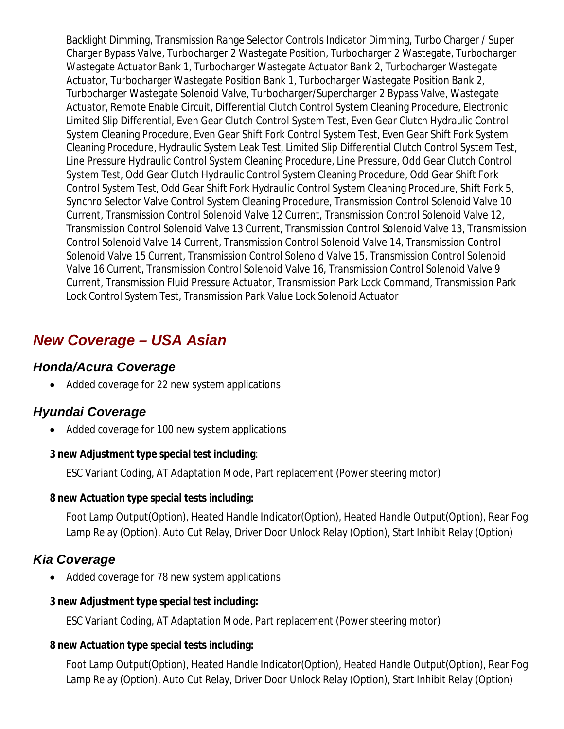Backlight Dimming, Transmission Range Selector Controls Indicator Dimming, Turbo Charger / Super Charger Bypass Valve, Turbocharger 2 Wastegate Position, Turbocharger 2 Wastegate, Turbocharger Wastegate Actuator Bank 1, Turbocharger Wastegate Actuator Bank 2, Turbocharger Wastegate Actuator, Turbocharger Wastegate Position Bank 1, Turbocharger Wastegate Position Bank 2, Turbocharger Wastegate Solenoid Valve, Turbocharger/Supercharger 2 Bypass Valve, Wastegate Actuator, Remote Enable Circuit, Differential Clutch Control System Cleaning Procedure, Electronic Limited Slip Differential, Even Gear Clutch Control System Test, Even Gear Clutch Hydraulic Control System Cleaning Procedure, Even Gear Shift Fork Control System Test, Even Gear Shift Fork System Cleaning Procedure, Hydraulic System Leak Test, Limited Slip Differential Clutch Control System Test, Line Pressure Hydraulic Control System Cleaning Procedure, Line Pressure, Odd Gear Clutch Control System Test, Odd Gear Clutch Hydraulic Control System Cleaning Procedure, Odd Gear Shift Fork Control System Test, Odd Gear Shift Fork Hydraulic Control System Cleaning Procedure, Shift Fork 5, Synchro Selector Valve Control System Cleaning Procedure, Transmission Control Solenoid Valve 10 Current, Transmission Control Solenoid Valve 12 Current, Transmission Control Solenoid Valve 12, Transmission Control Solenoid Valve 13 Current, Transmission Control Solenoid Valve 13, Transmission Control Solenoid Valve 14 Current, Transmission Control Solenoid Valve 14, Transmission Control Solenoid Valve 15 Current, Transmission Control Solenoid Valve 15, Transmission Control Solenoid Valve 16 Current, Transmission Control Solenoid Valve 16, Transmission Control Solenoid Valve 9 Current, Transmission Fluid Pressure Actuator, Transmission Park Lock Command, Transmission Park Lock Control System Test, Transmission Park Value Lock Solenoid Actuator

# *New Coverage – USA Asian*

### *Honda/Acura Coverage*

• Added coverage for 22 new system applications

### *Hyundai Coverage*

Added coverage for 100 new system applications

#### **3 new Adjustment type special test including**:

ESC Variant Coding, AT Adaptation Mode, Part replacement (Power steering motor)

#### **8 new Actuation type special tests including:**

Foot Lamp Output(Option), Heated Handle Indicator(Option), Heated Handle Output(Option), Rear Fog Lamp Relay (Option), Auto Cut Relay, Driver Door Unlock Relay (Option), Start Inhibit Relay (Option)

### *Kia Coverage*

• Added coverage for 78 new system applications

#### **3 new Adjustment type special test including:**

ESC Variant Coding, AT Adaptation Mode, Part replacement (Power steering motor)

#### **8 new Actuation type special tests including:**

Foot Lamp Output(Option), Heated Handle Indicator(Option), Heated Handle Output(Option), Rear Fog Lamp Relay (Option), Auto Cut Relay, Driver Door Unlock Relay (Option), Start Inhibit Relay (Option)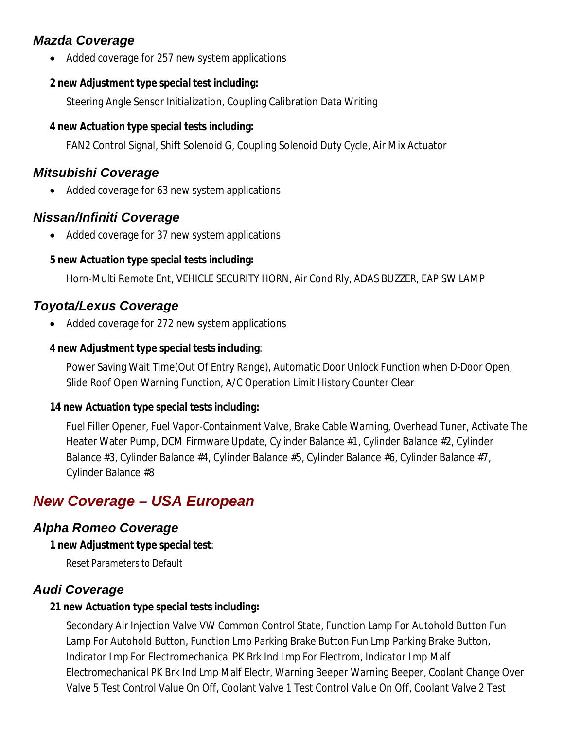## *Mazda Coverage*

Added coverage for 257 new system applications

## **2 new Adjustment type special test including:**

Steering Angle Sensor Initialization, Coupling Calibration Data Writing

## **4 new Actuation type special tests including:**

FAN2 Control Signal, Shift Solenoid G, Coupling Solenoid Duty Cycle, Air Mix Actuator

## *Mitsubishi Coverage*

• Added coverage for 63 new system applications

## *Nissan/Infiniti Coverage*

• Added coverage for 37 new system applications

## **5 new Actuation type special tests including:**

Horn-Multi Remote Ent, VEHICLE SECURITY HORN, Air Cond Rly, ADAS BUZZER, EAP SW LAMP

# *Toyota/Lexus Coverage*

• Added coverage for 272 new system applications

## **4 new Adjustment type special tests including**:

Power Saving Wait Time(Out Of Entry Range), Automatic Door Unlock Function when D-Door Open, Slide Roof Open Warning Function, A/C Operation Limit History Counter Clear

## **14 new Actuation type special tests including:**

Fuel Filler Opener, Fuel Vapor-Containment Valve, Brake Cable Warning, Overhead Tuner, Activate The Heater Water Pump, DCM Firmware Update, Cylinder Balance #1, Cylinder Balance #2, Cylinder Balance #3, Cylinder Balance #4, Cylinder Balance #5, Cylinder Balance #6, Cylinder Balance #7, Cylinder Balance #8

# *New Coverage – USA European*

# *Alpha Romeo Coverage*

## **1 new Adjustment type special test**:

Reset Parameters to Default

# *Audi Coverage*

## **21 new Actuation type special tests including:**

Secondary Air Injection Valve VW Common Control State, Function Lamp For Autohold Button Fun Lamp For Autohold Button, Function Lmp Parking Brake Button Fun Lmp Parking Brake Button, Indicator Lmp For Electromechanical PK Brk Ind Lmp For Electrom, Indicator Lmp Malf Electromechanical PK Brk Ind Lmp Malf Electr, Warning Beeper Warning Beeper, Coolant Change Over Valve 5 Test Control Value On Off, Coolant Valve 1 Test Control Value On Off, Coolant Valve 2 Test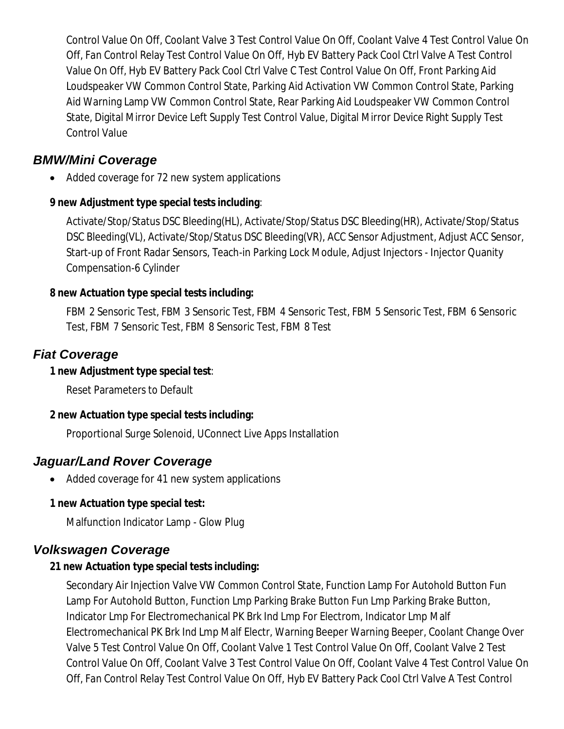Control Value On Off, Coolant Valve 3 Test Control Value On Off, Coolant Valve 4 Test Control Value On Off, Fan Control Relay Test Control Value On Off, Hyb EV Battery Pack Cool Ctrl Valve A Test Control Value On Off, Hyb EV Battery Pack Cool Ctrl Valve C Test Control Value On Off, Front Parking Aid Loudspeaker VW Common Control State, Parking Aid Activation VW Common Control State, Parking Aid Warning Lamp VW Common Control State, Rear Parking Aid Loudspeaker VW Common Control State, Digital Mirror Device Left Supply Test Control Value, Digital Mirror Device Right Supply Test Control Value

### *BMW/Mini Coverage*

Added coverage for 72 new system applications

#### **9 new Adjustment type special tests including**:

Activate/Stop/Status DSC Bleeding(HL), Activate/Stop/Status DSC Bleeding(HR), Activate/Stop/Status DSC Bleeding(VL), Activate/Stop/Status DSC Bleeding(VR), ACC Sensor Adjustment, Adjust ACC Sensor, Start-up of Front Radar Sensors, Teach-in Parking Lock Module, Adjust Injectors - Injector Quanity Compensation-6 Cylinder

#### **8 new Actuation type special tests including:**

FBM 2 Sensoric Test, FBM 3 Sensoric Test, FBM 4 Sensoric Test, FBM 5 Sensoric Test, FBM 6 Sensoric Test, FBM 7 Sensoric Test, FBM 8 Sensoric Test, FBM 8 Test

#### *Fiat Coverage*

#### **1 new Adjustment type special test**:

Reset Parameters to Default

#### **2 new Actuation type special tests including:**

Proportional Surge Solenoid, UConnect Live Apps Installation

### *Jaguar/Land Rover Coverage*

• Added coverage for 41 new system applications

#### **1 new Actuation type special test:**

Malfunction Indicator Lamp - Glow Plug

### *Volkswagen Coverage*

#### **21 new Actuation type special tests including:**

Secondary Air Injection Valve VW Common Control State, Function Lamp For Autohold Button Fun Lamp For Autohold Button, Function Lmp Parking Brake Button Fun Lmp Parking Brake Button, Indicator Lmp For Electromechanical PK Brk Ind Lmp For Electrom, Indicator Lmp Malf Electromechanical PK Brk Ind Lmp Malf Electr, Warning Beeper Warning Beeper, Coolant Change Over Valve 5 Test Control Value On Off, Coolant Valve 1 Test Control Value On Off, Coolant Valve 2 Test Control Value On Off, Coolant Valve 3 Test Control Value On Off, Coolant Valve 4 Test Control Value On Off, Fan Control Relay Test Control Value On Off, Hyb EV Battery Pack Cool Ctrl Valve A Test Control